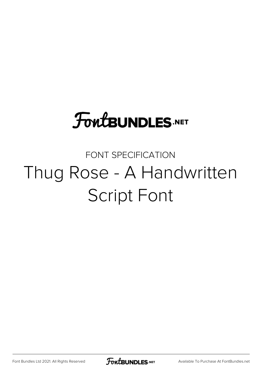# **FoutBUNDLES.NET**

### FONT SPECIFICATION Thug Rose - A Handwritten Script Font

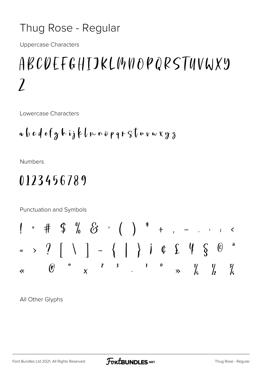#### Thug Rose - Regular

**Uppercase Characters** 

## ABCUEFGHIJKLMNOPQRSTUVWXY  $\overline{\mathcal{L}}$

Lowercase Characters

$$
a\,b\,c\,d\,e\,f\,g\,h\,i\,j\,k\,l\,m\,n\,e\,p\,q\,r\,S\,l\,u\,r\,w\,x\,y\,z
$$

**Numbers** 

### 0123456789

Punctuation and Symbols

All Other Glyphs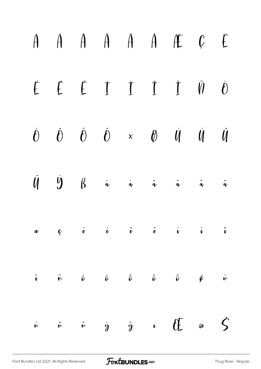